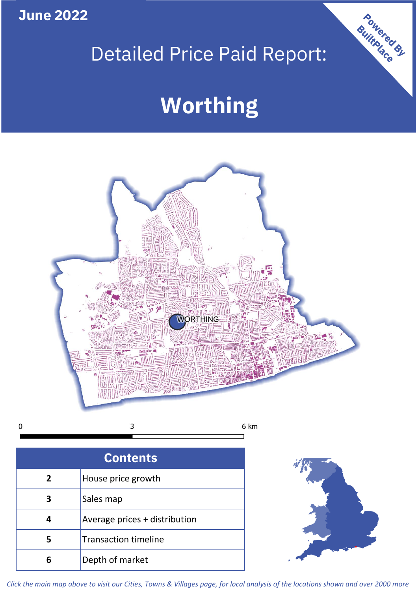**June 2022**

# Detailed Price Paid Report:

# **Worthing**



 $\mathbf 0$ 

| <b>Contents</b> |                               |  |  |
|-----------------|-------------------------------|--|--|
| $\mathbf{2}$    | House price growth            |  |  |
| 3               | Sales map                     |  |  |
| 4               | Average prices + distribution |  |  |
| 5               | <b>Transaction timeline</b>   |  |  |
| 6               | Depth of market               |  |  |



Powered By

*Click the main map above to visit our Cities, Towns & Villages page, for local analysis of the locations shown and over 2000 more*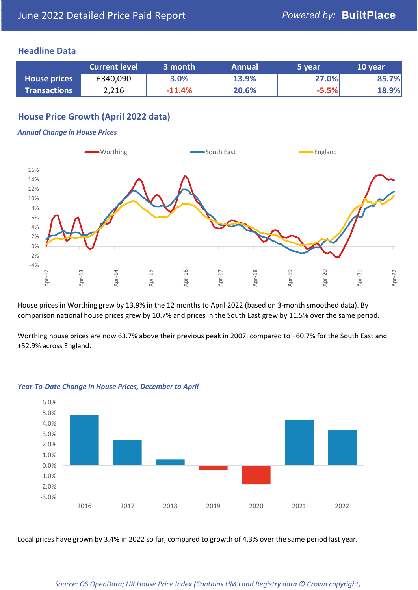### **Headline Data**

|                     | <b>Current level</b> | 3 month  | <b>Annual</b> | '5 vear | 10 year |
|---------------------|----------------------|----------|---------------|---------|---------|
| <b>House prices</b> | £340,090             | 3.0%     | 13.9%         | 27.0%   | 85.7%   |
| <b>Transactions</b> | 2,216                | $-11.4%$ | 20.6%         | $-5.5%$ | 18.9%   |

# **House Price Growth (April 2022 data)**

#### *Annual Change in House Prices*



House prices in Worthing grew by 13.9% in the 12 months to April 2022 (based on 3-month smoothed data). By comparison national house prices grew by 10.7% and prices in the South East grew by 11.5% over the same period.

Worthing house prices are now 63.7% above their previous peak in 2007, compared to +60.7% for the South East and +52.9% across England.



#### *Year-To-Date Change in House Prices, December to April*

Local prices have grown by 3.4% in 2022 so far, compared to growth of 4.3% over the same period last year.

#### *Source: OS OpenData; UK House Price Index (Contains HM Land Registry data © Crown copyright)*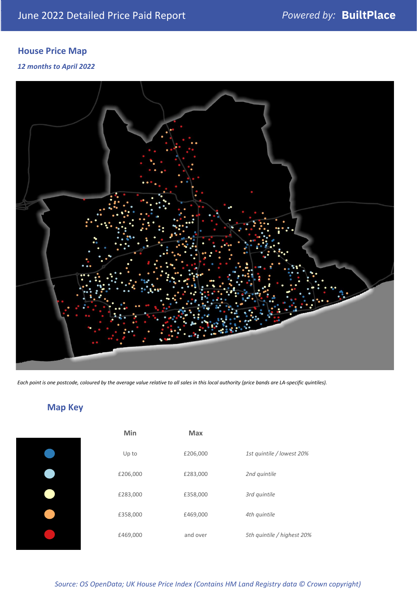# **House Price Map**

#### *12 months to April 2022*



*Each point is one postcode, coloured by the average value relative to all sales in this local authority (price bands are LA-specific quintiles).*

**Map Key**

| Min      | <b>Max</b> |                            |
|----------|------------|----------------------------|
| Up to    | £206,000   | 1st quintile / lowest 20%  |
| £206,000 | £283,000   | 2nd quintile               |
| £283,000 | £358,000   | 3rd quintile               |
| £358,000 | £469,000   | 4th quintile               |
| £469,000 | and over   | 5th quintile / highest 20% |

#### *Source: OS OpenData; UK House Price Index (Contains HM Land Registry data © Crown copyright)*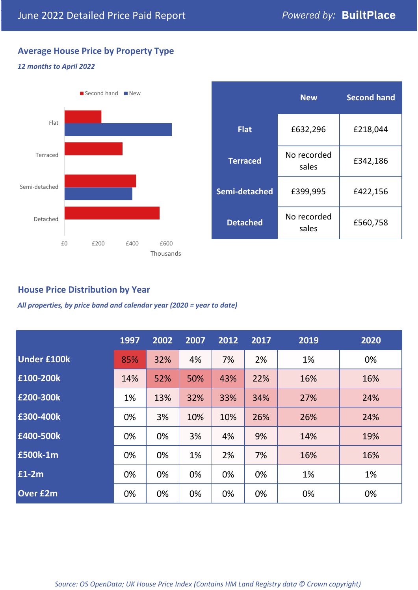# **Average House Price by Property Type**

#### *12 months to April 2022*



|                 | <b>New</b>           | <b>Second hand</b> |  |
|-----------------|----------------------|--------------------|--|
| <b>Flat</b>     | £632,296             | £218,044           |  |
| <b>Terraced</b> | No recorded<br>sales | £342,186           |  |
| Semi-detached   | £399,995             | £422,156           |  |
| <b>Detached</b> | No recorded<br>sales | £560,758           |  |

### **House Price Distribution by Year**

*All properties, by price band and calendar year (2020 = year to date)*

|                    | 1997 | 2002 | 2007 | 2012 | 2017 | 2019 | 2020 |
|--------------------|------|------|------|------|------|------|------|
| <b>Under £100k</b> | 85%  | 32%  | 4%   | 7%   | 2%   | 1%   | 0%   |
| £100-200k          | 14%  | 52%  | 50%  | 43%  | 22%  | 16%  | 16%  |
| E200-300k          | 1%   | 13%  | 32%  | 33%  | 34%  | 27%  | 24%  |
| £300-400k          | 0%   | 3%   | 10%  | 10%  | 26%  | 26%  | 24%  |
| £400-500k          | 0%   | 0%   | 3%   | 4%   | 9%   | 14%  | 19%  |
| <b>£500k-1m</b>    | 0%   | 0%   | 1%   | 2%   | 7%   | 16%  | 16%  |
| £1-2m              | 0%   | 0%   | 0%   | 0%   | 0%   | 1%   | 1%   |
| <b>Over £2m</b>    | 0%   | 0%   | 0%   | 0%   | 0%   | 0%   | 0%   |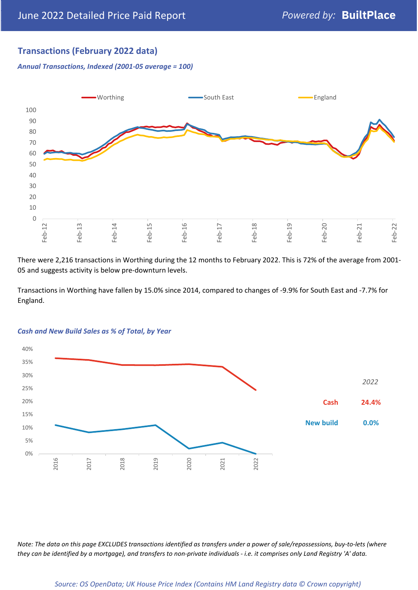# **Transactions (February 2022 data)**

*Annual Transactions, Indexed (2001-05 average = 100)*



There were 2,216 transactions in Worthing during the 12 months to February 2022. This is 72% of the average from 2001- 05 and suggests activity is below pre-downturn levels.

Transactions in Worthing have fallen by 15.0% since 2014, compared to changes of -9.9% for South East and -7.7% for England.



#### *Cash and New Build Sales as % of Total, by Year*

*Note: The data on this page EXCLUDES transactions identified as transfers under a power of sale/repossessions, buy-to-lets (where they can be identified by a mortgage), and transfers to non-private individuals - i.e. it comprises only Land Registry 'A' data.*